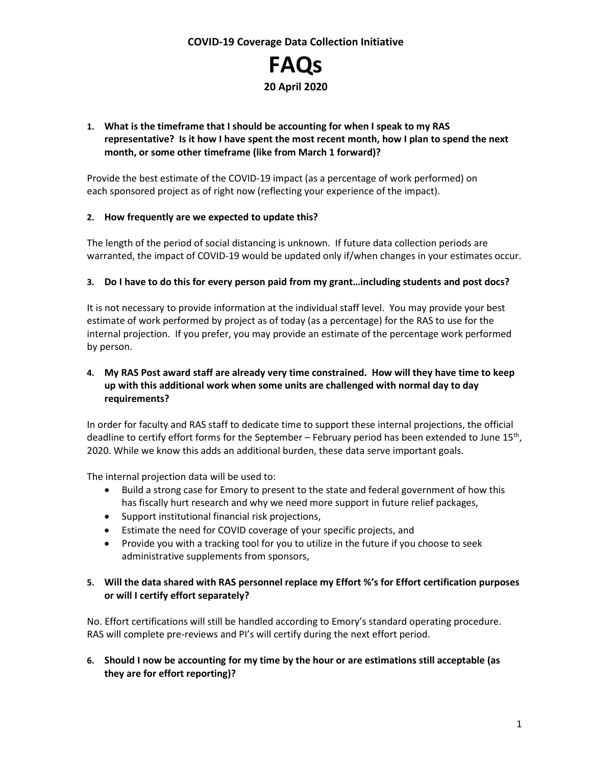

#### **1. What is the timeframe that I should be accounting for when I speak to my RAS representative? Is it how I have spent the most recent month, how I plan to spend the next month, or some other timeframe (like from March 1 forward)?**

Provide the best estimate of the COVID-19 impact (as a percentage of work performed) on each sponsored project as of right now (reflecting your experience of the impact).

#### **2. How frequently are we expected to update this?**

The length of the period of social distancing is unknown. If future data collection periods are warranted, the impact of COVID-19 would be updated only if/when changes in your estimates occur.

#### **3. Do I have to do this for every person paid from my grant…including students and post docs?**

It is not necessary to provide information at the individual staff level. You may provide your best estimate of work performed by project as of today (as a percentage) for the RAS to use for the internal projection. If you prefer, you may provide an estimate of the percentage work performed by person.

#### **4. My RAS Post award staff are already very time constrained. How will they have time to keep up with this additional work when some units are challenged with normal day to day requirements?**

In order for faculty and RAS staff to dedicate time to support these internal projections, the official deadline to certify effort forms for the September – February period has been extended to June  $15^{th}$ , 2020. While we know this adds an additional burden, these data serve important goals.

The internal projection data will be used to:

- Build a strong case for Emory to present to the state and federal government of how this has fiscally hurt research and why we need more support in future relief packages,
- Support institutional financial risk projections,
- Estimate the need for COVID coverage of your specific projects, and
- Provide you with a tracking tool for you to utilize in the future if you choose to seek administrative supplements from sponsors,

#### **5. Will the data shared with RAS personnel replace my Effort %'s for Effort certification purposes or will I certify effort separately?**

No. Effort certifications will still be handled according to Emory's standard operating procedure. RAS will complete pre-reviews and PI's will certify during the next effort period.

**6. Should I now be accounting for my time by the hour or are estimations still acceptable (as they are for effort reporting)?**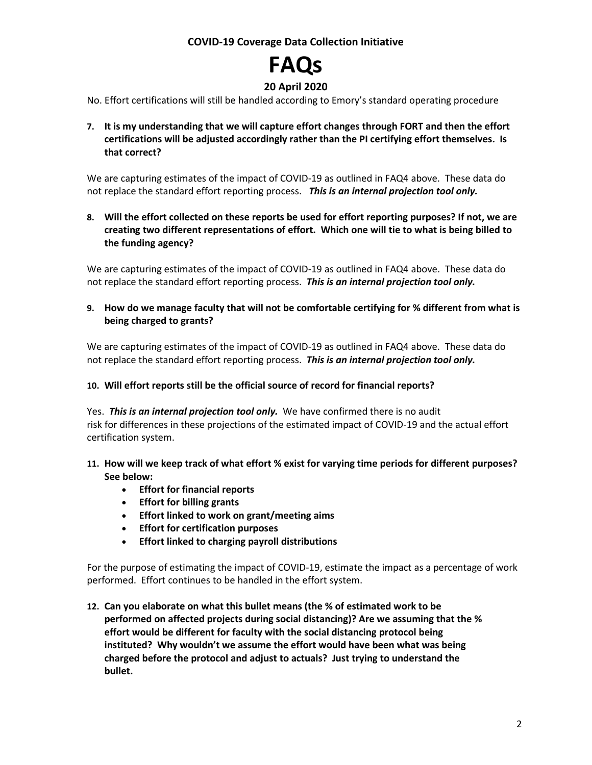# **FAQs**

## **20 April 2020**

No. Effort certifications will still be handled according to Emory's standard operating procedure

**7. It is my understanding that we will capture effort changes through FORT and then the effort certifications will be adjusted accordingly rather than the PI certifying effort themselves. Is that correct?**

We are capturing estimates of the impact of COVID-19 as outlined in FAQ4 above. These data do not replace the standard effort reporting process. *This is an internal projection tool only.*

**8. Will the effort collected on these reports be used for effort reporting purposes? If not, we are creating two different representations of effort. Which one will tie to what is being billed to the funding agency?**

We are capturing estimates of the impact of COVID-19 as outlined in FAQ4 above. These data do not replace the standard effort reporting process. *This is an internal projection tool only.*

**9. How do we manage faculty that will not be comfortable certifying for % different from what is being charged to grants?**

We are capturing estimates of the impact of COVID-19 as outlined in FAQ4 above. These data do not replace the standard effort reporting process. *This is an internal projection tool only.*

#### **10. Will effort reports still be the official source of record for financial reports?**

Yes. *This is an internal projection tool only.* We have confirmed there is no audit risk for differences in these projections of the estimated impact of COVID-19 and the actual effort certification system.

- **11. How will we keep track of what effort % exist for varying time periods for different purposes? See below:**
	- **Effort for financial reports**
	- **Effort for billing grants**
	- **Effort linked to work on grant/meeting aims**
	- **Effort for certification purposes**
	- **Effort linked to charging payroll distributions**

For the purpose of estimating the impact of COVID-19, estimate the impact as a percentage of work performed. Effort continues to be handled in the effort system.

**12. Can you elaborate on what this bullet means (the % of estimated work to be performed on affected projects during social distancing)? Are we assuming that the % effort would be different for faculty with the social distancing protocol being instituted? Why wouldn't we assume the effort would have been what was being charged before the protocol and adjust to actuals? Just trying to understand the bullet.**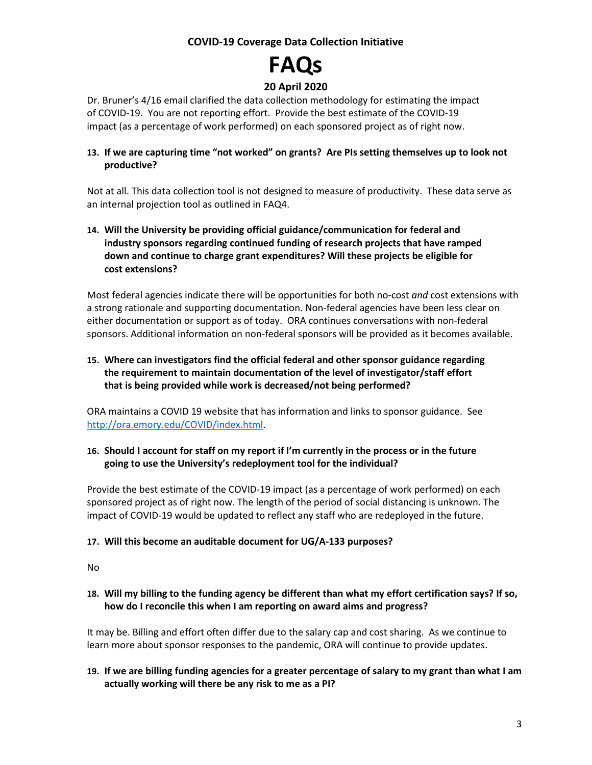# **FAQs**

# **20 April 2020**

Dr. Bruner's 4/16 email clarified the data collection methodology for estimating the impact of COVID-19. You are not reporting effort. Provide the best estimate of the COVID-19 impact (as a percentage of work performed) on each sponsored project as of right now.

#### **13. If we are capturing time "not worked" on grants? Are PIs setting themselves up to look not productive?**

Not at all. This data collection tool is not designed to measure of productivity. These data serve as an internal projection tool as outlined in FAQ4.

#### **14. Will the University be providing official guidance/communication for federal and industry sponsors regarding continued funding of research projects that have ramped down and continue to charge grant expenditures? Will these projects be eligible for cost extensions?**

Most federal agencies indicate there will be opportunities for both no-cost *and* cost extensions with a strong rationale and supporting documentation. Non-federal agencies have been less clear on either documentation or support as of today. ORA continues conversations with non-federal sponsors. Additional information on non-federal sponsors will be provided as it becomes available.

#### **15. Where can investigators find the official federal and other sponsor guidance regarding the requirement to maintain documentation of the level of investigator/staff effort that is being provided while work is decreased/not being performed?**

ORA maintains a COVID 19 website that has information and links to sponsor guidance. See [http://ora.emory.edu/COVID/index.html.](http://ora.emory.edu/COVID/index.html)

#### **16. Should I account for staff on my report if I'm currently in the process or in the future going to use the University's redeployment tool for the individual?**

Provide the best estimate of the COVID-19 impact (as a percentage of work performed) on each sponsored project as of right now. The length of the period of social distancing is unknown. The impact of COVID-19 would be updated to reflect any staff who are redeployed in the future.

#### **17. Will this become an auditable document for UG/A-133 purposes?**

No

#### **18. Will my billing to the funding agency be different than what my effort certification says? If so, how do I reconcile this when I am reporting on award aims and progress?**

It may be. Billing and effort often differ due to the salary cap and cost sharing. As we continue to learn more about sponsor responses to the pandemic, ORA will continue to provide updates.

#### **19. If we are billing funding agencies for a greater percentage of salary to my grant than what I am actually working will there be any risk to me as a PI?**